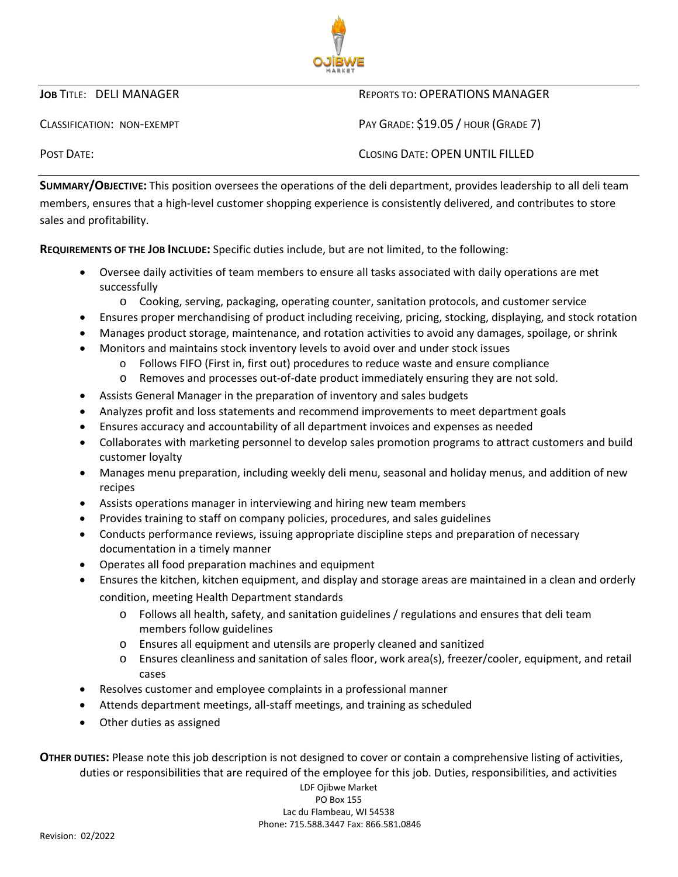

# **JOB TITLE: DELI MANAGER REPORTS TO: OPERATIONS MANAGER**

CLASSIFICATION: NON-EXEMPT **EXEMPT** PAY GRADE: \$19.05 / HOUR (GRADE 7)

POST DATE: CLOSING DATE: OPEN UNTIL FILLED

**SUMMARY/OBJECTIVE:** This position oversees the operations of the deli department, provides leadership to all deli team members, ensures that a high-level customer shopping experience is consistently delivered, and contributes to store sales and profitability.

**REQUIREMENTS OF THE JOB INCLUDE:** Specific duties include, but are not limited, to the following:

- Oversee daily activities of team members to ensure all tasks associated with daily operations are met successfully
	- o Cooking, serving, packaging, operating counter, sanitation protocols, and customer service
- Ensures proper merchandising of product including receiving, pricing, stocking, displaying, and stock rotation
- Manages product storage, maintenance, and rotation activities to avoid any damages, spoilage, or shrink
- Monitors and maintains stock inventory levels to avoid over and under stock issues
	- o Follows FIFO (First in, first out) procedures to reduce waste and ensure compliance
		- o Removes and processes out-of-date product immediately ensuring they are not sold.
- Assists General Manager in the preparation of inventory and sales budgets
- Analyzes profit and loss statements and recommend improvements to meet department goals
- Ensures accuracy and accountability of all department invoices and expenses as needed
- Collaborates with marketing personnel to develop sales promotion programs to attract customers and build customer loyalty
- Manages menu preparation, including weekly deli menu, seasonal and holiday menus, and addition of new recipes
- Assists operations manager in interviewing and hiring new team members
- Provides training to staff on company policies, procedures, and sales guidelines
- Conducts performance reviews, issuing appropriate discipline steps and preparation of necessary documentation in a timely manner
- Operates all food preparation machines and equipment
- Ensures the kitchen, kitchen equipment, and display and storage areas are maintained in a clean and orderly condition, meeting Health Department standards
	- o Follows all health, safety, and sanitation guidelines / regulations and ensures that deli team members follow guidelines
	- o Ensures all equipment and utensils are properly cleaned and sanitized
	- o Ensures cleanliness and sanitation of sales floor, work area(s), freezer/cooler, equipment, and retail cases
- Resolves customer and employee complaints in a professional manner
- Attends department meetings, all-staff meetings, and training as scheduled
- Other duties as assigned

**OTHER DUTIES:** Please note this job description is not designed to cover or contain a comprehensive listing of activities, duties or responsibilities that are required of the employee for this job. Duties, responsibilities, and activities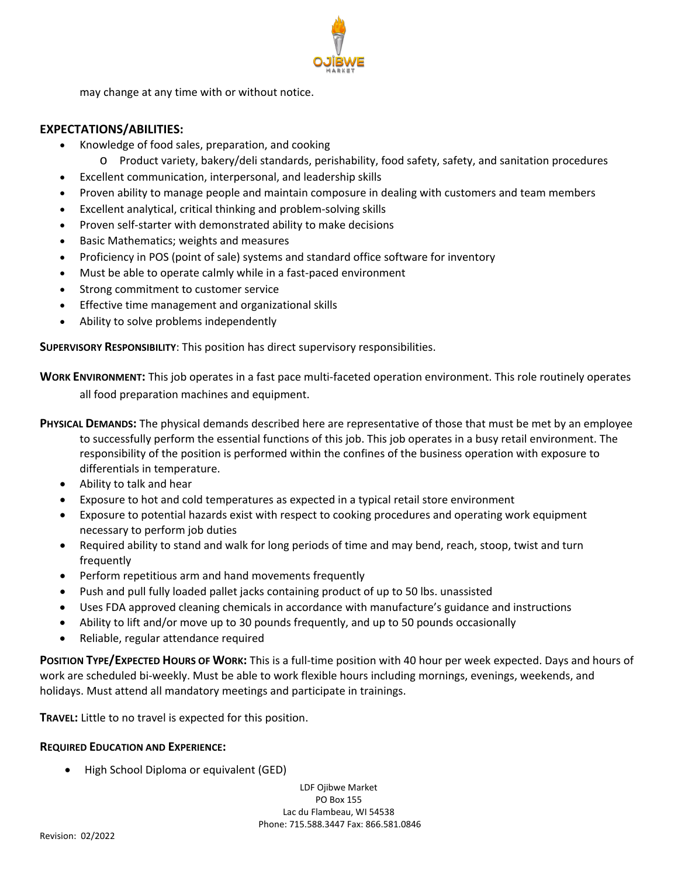may change at any time with or without notice.

# **EXPECTATIONS/ABILITIES:**

- Knowledge of food sales, preparation, and cooking
	- o Product variety, bakery/deli standards, perishability, food safety, safety, and sanitation procedures
- Excellent communication, interpersonal, and leadership skills
- Proven ability to manage people and maintain composure in dealing with customers and team members
- Excellent analytical, critical thinking and problem-solving skills
- Proven self-starter with demonstrated ability to make decisions
- Basic Mathematics; weights and measures
- Proficiency in POS (point of sale) systems and standard office software for inventory
- Must be able to operate calmly while in a fast-paced environment
- Strong commitment to customer service
- Effective time management and organizational skills
- Ability to solve problems independently

**SUPERVISORY RESPONSIBILITY**: This position has direct supervisory responsibilities.

**WORK ENVIRONMENT:** This job operates in a fast pace multi-faceted operation environment. This role routinely operates all food preparation machines and equipment.

**PHYSICAL DEMANDS:** The physical demands described here are representative of those that must be met by an employee to successfully perform the essential functions of this job. This job operates in a busy retail environment. The responsibility of the position is performed within the confines of the business operation with exposure to differentials in temperature.

- Ability to talk and hear
- Exposure to hot and cold temperatures as expected in a typical retail store environment
- Exposure to potential hazards exist with respect to cooking procedures and operating work equipment necessary to perform job duties
- Required ability to stand and walk for long periods of time and may bend, reach, stoop, twist and turn frequently
- Perform repetitious arm and hand movements frequently
- Push and pull fully loaded pallet jacks containing product of up to 50 lbs. unassisted
- Uses FDA approved cleaning chemicals in accordance with manufacture's guidance and instructions
- Ability to lift and/or move up to 30 pounds frequently, and up to 50 pounds occasionally
- Reliable, regular attendance required

**POSITION TYPE/EXPECTED HOURS OF WORK:** This is a full-time position with 40 hour per week expected. Days and hours of work are scheduled bi-weekly. Must be able to work flexible hours including mornings, evenings, weekends, and holidays. Must attend all mandatory meetings and participate in trainings.

**TRAVEL:** Little to no travel is expected for this position.

# **REQUIRED EDUCATION AND EXPERIENCE:**

• High School Diploma or equivalent (GED)

LDF Ojibwe Market PO Box 155 Lac du Flambeau, WI 54538 Phone: 715.588.3447 Fax: 866.581.0846